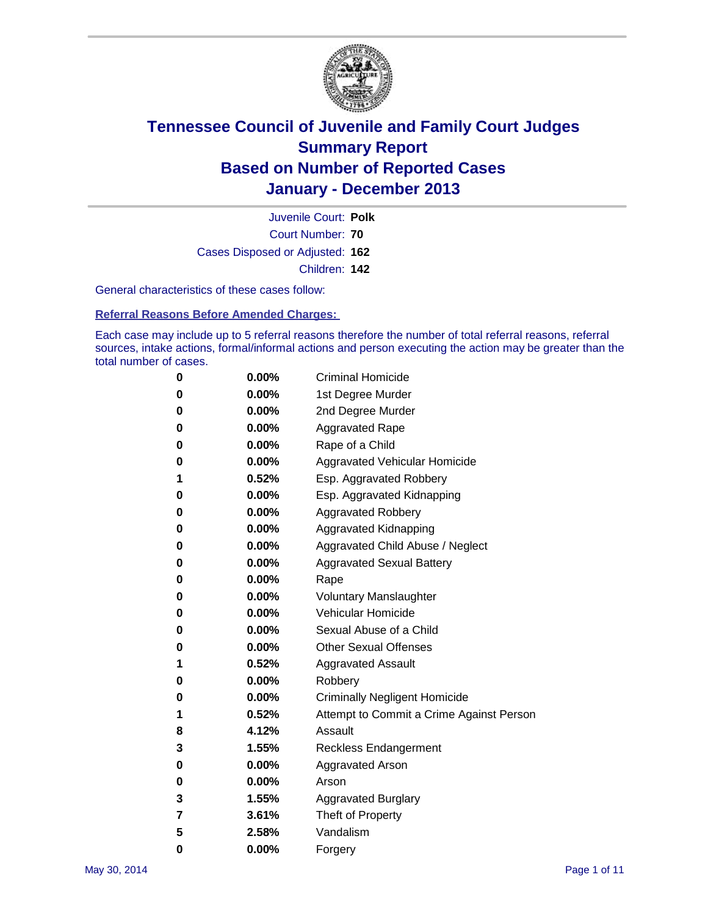

Court Number: **70** Juvenile Court: **Polk** Cases Disposed or Adjusted: **162** Children: **142**

General characteristics of these cases follow:

**Referral Reasons Before Amended Charges:** 

Each case may include up to 5 referral reasons therefore the number of total referral reasons, referral sources, intake actions, formal/informal actions and person executing the action may be greater than the total number of cases.

| 0 | 0.00%    | <b>Criminal Homicide</b>                 |
|---|----------|------------------------------------------|
| 0 | 0.00%    | 1st Degree Murder                        |
| 0 | 0.00%    | 2nd Degree Murder                        |
| 0 | $0.00\%$ | <b>Aggravated Rape</b>                   |
| 0 | 0.00%    | Rape of a Child                          |
| 0 | 0.00%    | Aggravated Vehicular Homicide            |
| 1 | 0.52%    | Esp. Aggravated Robbery                  |
| 0 | $0.00\%$ | Esp. Aggravated Kidnapping               |
| 0 | $0.00\%$ | <b>Aggravated Robbery</b>                |
| 0 | $0.00\%$ | Aggravated Kidnapping                    |
| 0 | $0.00\%$ | Aggravated Child Abuse / Neglect         |
| 0 | 0.00%    | <b>Aggravated Sexual Battery</b>         |
| 0 | 0.00%    | Rape                                     |
| 0 | $0.00\%$ | <b>Voluntary Manslaughter</b>            |
| 0 | 0.00%    | Vehicular Homicide                       |
| 0 | 0.00%    | Sexual Abuse of a Child                  |
| 0 | $0.00\%$ | <b>Other Sexual Offenses</b>             |
| 1 | 0.52%    | <b>Aggravated Assault</b>                |
| 0 | 0.00%    | Robbery                                  |
| 0 | $0.00\%$ | <b>Criminally Negligent Homicide</b>     |
| 1 | 0.52%    | Attempt to Commit a Crime Against Person |
| 8 | 4.12%    | Assault                                  |
| 3 | 1.55%    | <b>Reckless Endangerment</b>             |
| 0 | $0.00\%$ | <b>Aggravated Arson</b>                  |
| 0 | $0.00\%$ | Arson                                    |
| 3 | 1.55%    | <b>Aggravated Burglary</b>               |
| 7 | 3.61%    | Theft of Property                        |
| 5 | 2.58%    | Vandalism                                |
| 0 | 0.00%    | Forgery                                  |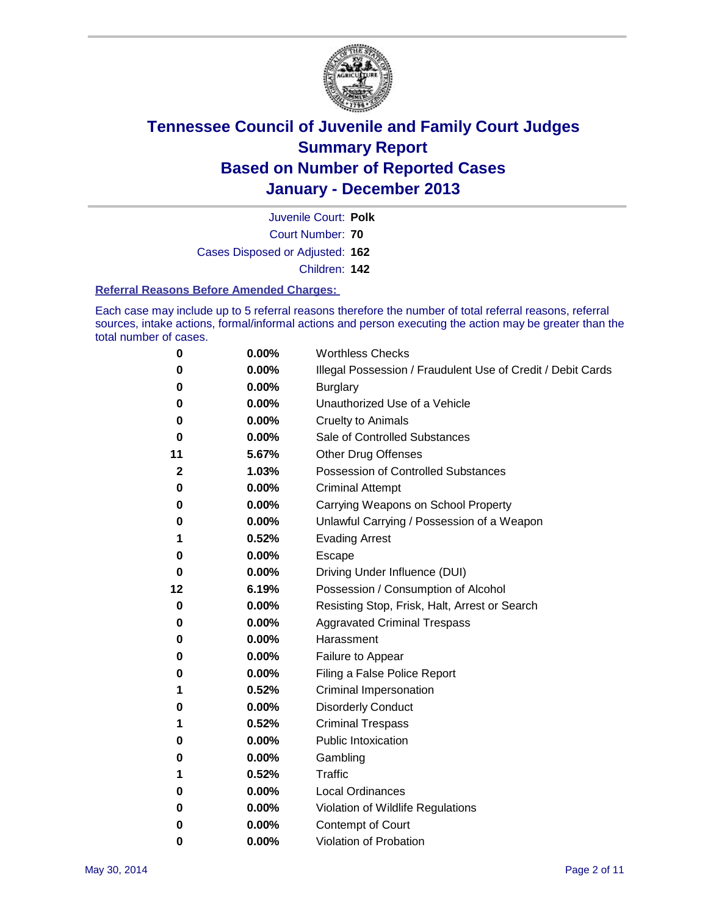

Court Number: **70** Juvenile Court: **Polk** Cases Disposed or Adjusted: **162** Children: **142**

#### **Referral Reasons Before Amended Charges:**

Each case may include up to 5 referral reasons therefore the number of total referral reasons, referral sources, intake actions, formal/informal actions and person executing the action may be greater than the total number of cases.

| $\boldsymbol{0}$ | 0.00% | <b>Worthless Checks</b>                                     |
|------------------|-------|-------------------------------------------------------------|
| 0                | 0.00% | Illegal Possession / Fraudulent Use of Credit / Debit Cards |
| 0                | 0.00% | <b>Burglary</b>                                             |
| 0                | 0.00% | Unauthorized Use of a Vehicle                               |
| 0                | 0.00% | <b>Cruelty to Animals</b>                                   |
| $\mathbf 0$      | 0.00% | Sale of Controlled Substances                               |
| 11               | 5.67% | <b>Other Drug Offenses</b>                                  |
| $\mathbf{2}$     | 1.03% | Possession of Controlled Substances                         |
| 0                | 0.00% | <b>Criminal Attempt</b>                                     |
| 0                | 0.00% | Carrying Weapons on School Property                         |
| 0                | 0.00% | Unlawful Carrying / Possession of a Weapon                  |
| 1                | 0.52% | <b>Evading Arrest</b>                                       |
| 0                | 0.00% | Escape                                                      |
| 0                | 0.00% | Driving Under Influence (DUI)                               |
| 12               | 6.19% | Possession / Consumption of Alcohol                         |
| 0                | 0.00% | Resisting Stop, Frisk, Halt, Arrest or Search               |
| 0                | 0.00% | <b>Aggravated Criminal Trespass</b>                         |
| 0                | 0.00% | Harassment                                                  |
| 0                | 0.00% | Failure to Appear                                           |
| 0                | 0.00% | Filing a False Police Report                                |
| 1                | 0.52% | Criminal Impersonation                                      |
| 0                | 0.00% | <b>Disorderly Conduct</b>                                   |
| 1                | 0.52% | <b>Criminal Trespass</b>                                    |
| 0                | 0.00% | <b>Public Intoxication</b>                                  |
| 0                | 0.00% | Gambling                                                    |
| 1                | 0.52% | Traffic                                                     |
| 0                | 0.00% | <b>Local Ordinances</b>                                     |
| 0                | 0.00% | Violation of Wildlife Regulations                           |
| 0                | 0.00% | Contempt of Court                                           |
| 0                | 0.00% | Violation of Probation                                      |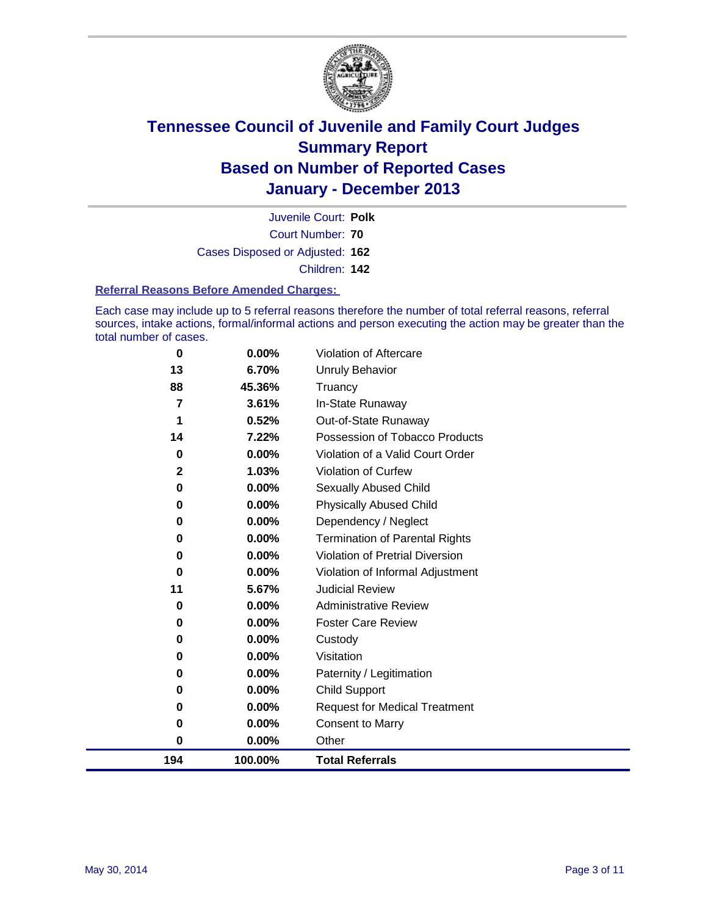

Court Number: **70** Juvenile Court: **Polk** Cases Disposed or Adjusted: **162** Children: **142**

#### **Referral Reasons Before Amended Charges:**

Each case may include up to 5 referral reasons therefore the number of total referral reasons, referral sources, intake actions, formal/informal actions and person executing the action may be greater than the total number of cases.

| $\bf{0}$     | $0.00\%$ | Violation of Aftercare                 |
|--------------|----------|----------------------------------------|
| 13           | 6.70%    | Unruly Behavior                        |
| 88           | 45.36%   | Truancy                                |
| 7            | 3.61%    | In-State Runaway                       |
| 1            | 0.52%    | Out-of-State Runaway                   |
| 14           | 7.22%    | Possession of Tobacco Products         |
| 0            | 0.00%    | Violation of a Valid Court Order       |
| $\mathbf{2}$ | 1.03%    | <b>Violation of Curfew</b>             |
| 0            | $0.00\%$ | Sexually Abused Child                  |
| 0            | 0.00%    | <b>Physically Abused Child</b>         |
| 0            | 0.00%    | Dependency / Neglect                   |
| 0            | $0.00\%$ | <b>Termination of Parental Rights</b>  |
| 0            | 0.00%    | <b>Violation of Pretrial Diversion</b> |
| 0            | 0.00%    | Violation of Informal Adjustment       |
| 11           | 5.67%    | <b>Judicial Review</b>                 |
| 0            | 0.00%    | <b>Administrative Review</b>           |
| 0            | 0.00%    | <b>Foster Care Review</b>              |
| 0            | 0.00%    | Custody                                |
| 0            | 0.00%    | Visitation                             |
| 0            | 0.00%    | Paternity / Legitimation               |
| 0            | 0.00%    | <b>Child Support</b>                   |
| 0            | 0.00%    | <b>Request for Medical Treatment</b>   |
| 0            | 0.00%    | Consent to Marry                       |
| 0            | $0.00\%$ | Other                                  |
| 194          | 100.00%  | <b>Total Referrals</b>                 |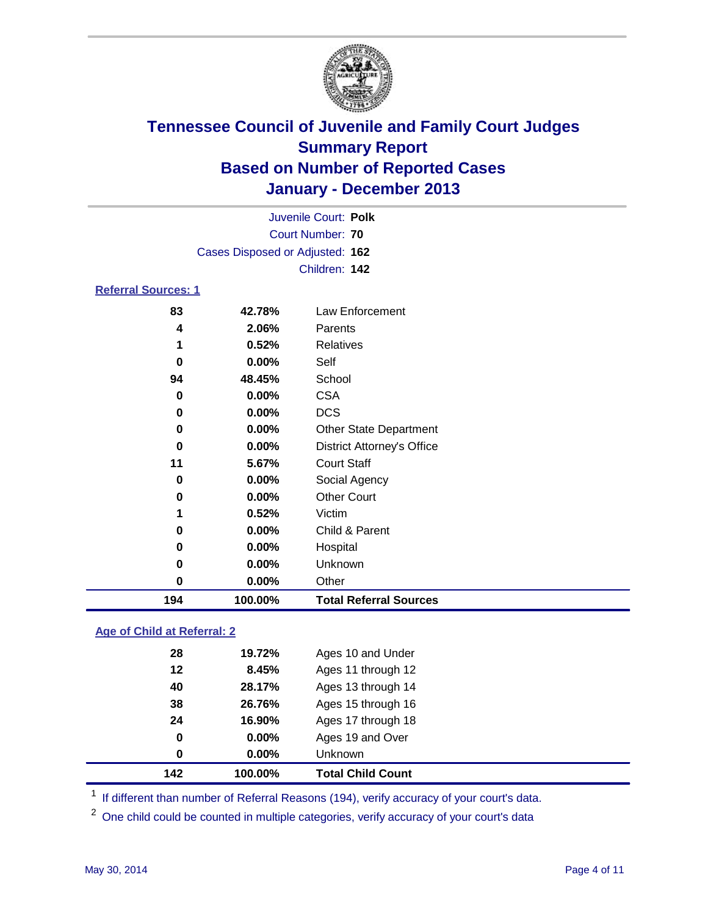

|                            | Juvenile Court: Polk<br><b>Court Number: 70</b><br>Cases Disposed or Adjusted: 162 |                                   |  |  |  |  |
|----------------------------|------------------------------------------------------------------------------------|-----------------------------------|--|--|--|--|
|                            |                                                                                    |                                   |  |  |  |  |
|                            |                                                                                    |                                   |  |  |  |  |
|                            |                                                                                    | Children: 142                     |  |  |  |  |
| <b>Referral Sources: 1</b> |                                                                                    |                                   |  |  |  |  |
| 83                         | 42.78%                                                                             | Law Enforcement                   |  |  |  |  |
| 4                          | 2.06%                                                                              | Parents                           |  |  |  |  |
| 1                          | 0.52%                                                                              | <b>Relatives</b>                  |  |  |  |  |
| 0                          | $0.00\%$                                                                           | Self                              |  |  |  |  |
| 94                         | 48.45%                                                                             | School                            |  |  |  |  |
| 0                          | $0.00\%$                                                                           | <b>CSA</b>                        |  |  |  |  |
| 0                          | $0.00\%$                                                                           | <b>DCS</b>                        |  |  |  |  |
| 0                          | $0.00\%$                                                                           | <b>Other State Department</b>     |  |  |  |  |
| 0                          | $0.00\%$                                                                           | <b>District Attorney's Office</b> |  |  |  |  |
| 11                         | 5.67%                                                                              | <b>Court Staff</b>                |  |  |  |  |
| 0                          | $0.00\%$                                                                           | Social Agency                     |  |  |  |  |
| n                          | በ በበ%                                                                              | Other Court                       |  |  |  |  |

| 194 | 100.00%  | <b>Total Referral Sources</b> |  |
|-----|----------|-------------------------------|--|
| 0   | $0.00\%$ | Other                         |  |
| 0   | $0.00\%$ | <b>Unknown</b>                |  |
| 0   | $0.00\%$ | Hospital                      |  |
| 0   | $0.00\%$ | Child & Parent                |  |
| 1   | 0.52%    | Victim                        |  |
| v   | v.vv /0  | UUU UUU                       |  |

### **Age of Child at Referral: 2**

| 38<br>24<br>0<br>0 | 26.76%<br>16.90%<br>0.00%<br>$0.00\%$ | Ages 15 through 16<br>Ages 17 through 18<br>Ages 19 and Over<br><b>Unknown</b> |
|--------------------|---------------------------------------|--------------------------------------------------------------------------------|
|                    |                                       |                                                                                |
|                    |                                       |                                                                                |
|                    |                                       |                                                                                |
|                    |                                       |                                                                                |
| 40                 | 28.17%                                | Ages 13 through 14                                                             |
| 12                 | 8.45%                                 | Ages 11 through 12                                                             |
| 28                 | 19.72%                                | Ages 10 and Under                                                              |
|                    |                                       |                                                                                |

<sup>1</sup> If different than number of Referral Reasons (194), verify accuracy of your court's data.

<sup>2</sup> One child could be counted in multiple categories, verify accuracy of your court's data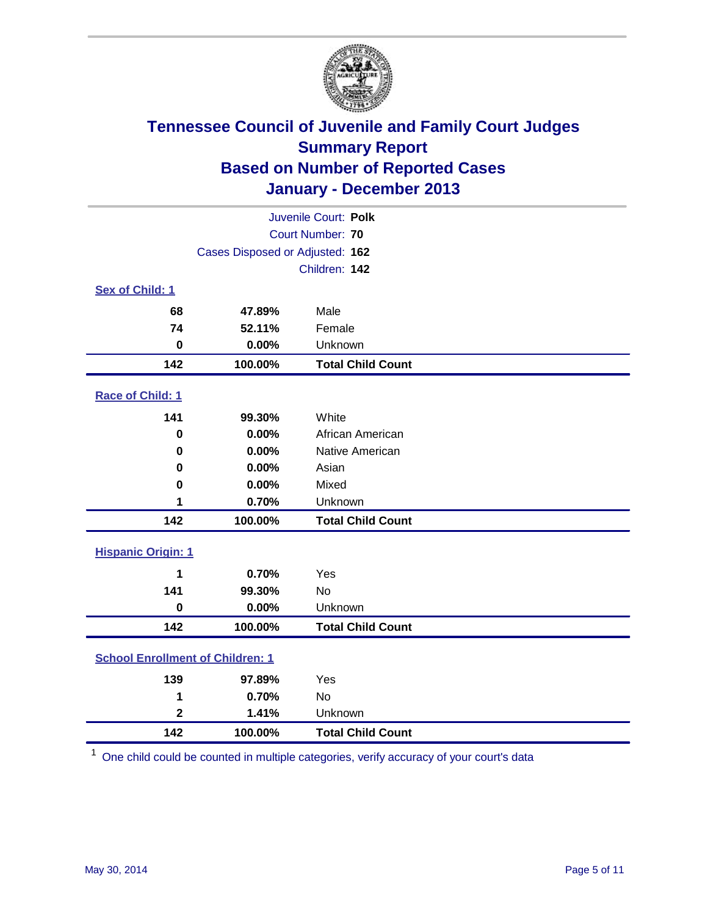

| Juvenile Court: Polk                    |                                 |                          |  |  |
|-----------------------------------------|---------------------------------|--------------------------|--|--|
|                                         | Court Number: 70                |                          |  |  |
|                                         | Cases Disposed or Adjusted: 162 |                          |  |  |
|                                         |                                 | Children: 142            |  |  |
| Sex of Child: 1                         |                                 |                          |  |  |
| 68                                      | 47.89%                          | Male                     |  |  |
| 74                                      | 52.11%                          | Female                   |  |  |
| $\mathbf 0$                             | 0.00%                           | Unknown                  |  |  |
| 142                                     | 100.00%                         | <b>Total Child Count</b> |  |  |
| Race of Child: 1                        |                                 |                          |  |  |
| 141                                     | 99.30%                          | White                    |  |  |
| $\mathbf 0$                             | 0.00%                           | African American         |  |  |
| 0                                       | 0.00%                           | Native American          |  |  |
| 0                                       | 0.00%                           | Asian                    |  |  |
| 0                                       | 0.00%                           | Mixed                    |  |  |
| 1                                       | 0.70%                           | Unknown                  |  |  |
| 142                                     | 100.00%                         | <b>Total Child Count</b> |  |  |
| <b>Hispanic Origin: 1</b>               |                                 |                          |  |  |
| 1                                       | 0.70%                           | Yes                      |  |  |
| 141                                     | 99.30%                          | <b>No</b>                |  |  |
| $\bf{0}$                                | 0.00%                           | Unknown                  |  |  |
| 142                                     | 100.00%                         | <b>Total Child Count</b> |  |  |
| <b>School Enrollment of Children: 1</b> |                                 |                          |  |  |
| 139                                     | 97.89%                          | Yes                      |  |  |
| 1                                       | 0.70%                           | <b>No</b>                |  |  |
| $\mathbf 2$                             | 1.41%                           | Unknown                  |  |  |
| 142                                     | 100.00%                         | <b>Total Child Count</b> |  |  |

One child could be counted in multiple categories, verify accuracy of your court's data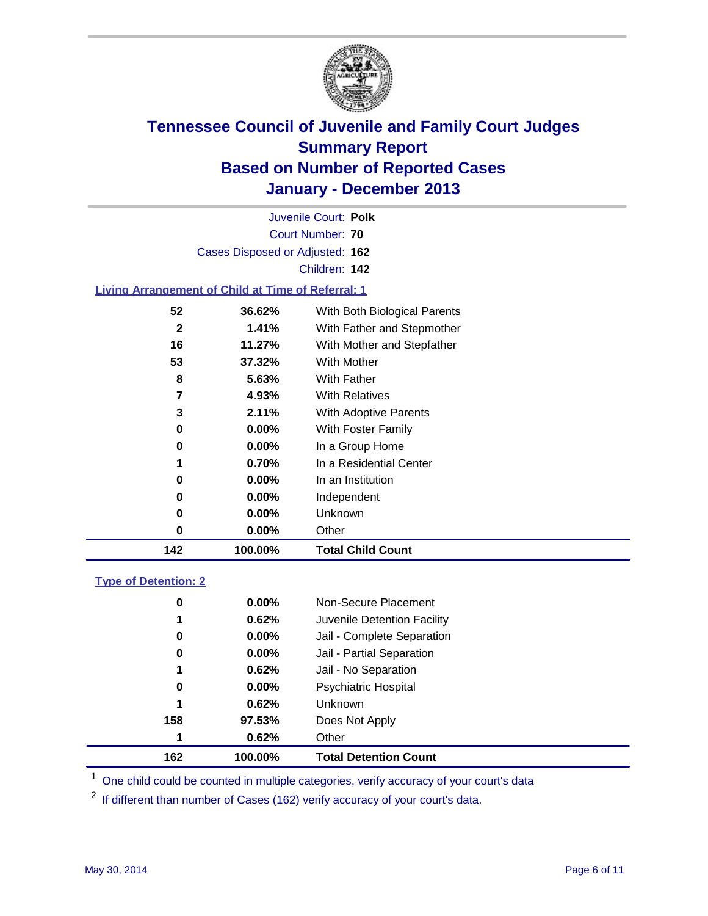

Court Number: **70** Juvenile Court: **Polk** Cases Disposed or Adjusted: **162** Children: **142**

### **Living Arrangement of Child at Time of Referral: 1**

| 142            | 100.00%  | <b>Total Child Count</b>     |
|----------------|----------|------------------------------|
| 0              | $0.00\%$ | Other                        |
| 0              | $0.00\%$ | Unknown                      |
| 0              | $0.00\%$ | Independent                  |
| 0              | $0.00\%$ | In an Institution            |
| 1              | 0.70%    | In a Residential Center      |
| 0              | $0.00\%$ | In a Group Home              |
| 0              | $0.00\%$ | With Foster Family           |
| 3              | 2.11%    | With Adoptive Parents        |
| $\overline{7}$ | 4.93%    | <b>With Relatives</b>        |
| 8              | 5.63%    | <b>With Father</b>           |
| 53             | 37.32%   | With Mother                  |
| 16             | 11.27%   | With Mother and Stepfather   |
| 2              | 1.41%    | With Father and Stepmother   |
| 52             | 36.62%   | With Both Biological Parents |
|                |          |                              |

#### **Type of Detention: 2**

| 162 | 100.00%  | <b>Total Detention Count</b> |
|-----|----------|------------------------------|
| 1   | 0.62%    | Other                        |
| 158 | 97.53%   | Does Not Apply               |
| 1   | 0.62%    | <b>Unknown</b>               |
| 0   | $0.00\%$ | <b>Psychiatric Hospital</b>  |
| 1   | 0.62%    | Jail - No Separation         |
| 0   | $0.00\%$ | Jail - Partial Separation    |
| 0   | 0.00%    | Jail - Complete Separation   |
| 1   | 0.62%    | Juvenile Detention Facility  |
| 0   | $0.00\%$ | Non-Secure Placement         |
|     |          |                              |

<sup>1</sup> One child could be counted in multiple categories, verify accuracy of your court's data

If different than number of Cases (162) verify accuracy of your court's data.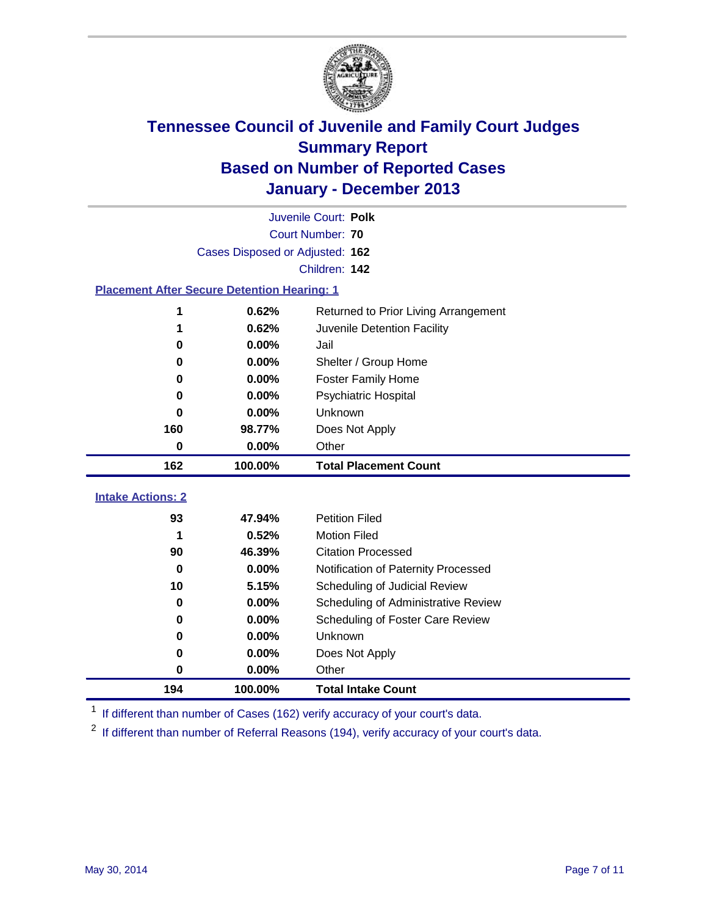

|                                                    | Juvenile Court: Polk            |                                                  |  |  |  |  |
|----------------------------------------------------|---------------------------------|--------------------------------------------------|--|--|--|--|
|                                                    | Court Number: 70                |                                                  |  |  |  |  |
|                                                    | Cases Disposed or Adjusted: 162 |                                                  |  |  |  |  |
|                                                    | Children: 142                   |                                                  |  |  |  |  |
| <b>Placement After Secure Detention Hearing: 1</b> |                                 |                                                  |  |  |  |  |
| 1                                                  | 0.62%                           | Returned to Prior Living Arrangement             |  |  |  |  |
| 1                                                  | 0.62%                           | Juvenile Detention Facility                      |  |  |  |  |
| 0                                                  | 0.00%                           | Jail                                             |  |  |  |  |
| 0                                                  | 0.00%                           | Shelter / Group Home                             |  |  |  |  |
| $\bf{0}$                                           | 0.00%                           | <b>Foster Family Home</b>                        |  |  |  |  |
| $\bf{0}$                                           | 0.00%                           | Psychiatric Hospital                             |  |  |  |  |
| 0                                                  | 0.00%                           | Unknown                                          |  |  |  |  |
| 160                                                | 98.77%                          | Does Not Apply                                   |  |  |  |  |
| $\bf{0}$                                           | 0.00%                           | Other                                            |  |  |  |  |
| 162                                                | 100.00%                         | <b>Total Placement Count</b>                     |  |  |  |  |
| <b>Intake Actions: 2</b>                           |                                 |                                                  |  |  |  |  |
|                                                    |                                 |                                                  |  |  |  |  |
| 93                                                 | 47.94%                          | <b>Petition Filed</b>                            |  |  |  |  |
| 1                                                  | 0.52%<br>46.39%                 | <b>Motion Filed</b><br><b>Citation Processed</b> |  |  |  |  |
| 90<br>$\bf{0}$                                     |                                 |                                                  |  |  |  |  |
|                                                    | 0.00%                           | Notification of Paternity Processed              |  |  |  |  |
| 10                                                 | 5.15%                           | Scheduling of Judicial Review                    |  |  |  |  |
| 0                                                  | 0.00%                           | Scheduling of Administrative Review              |  |  |  |  |
| 0                                                  | 0.00%                           | Scheduling of Foster Care Review                 |  |  |  |  |
| $\bf{0}$                                           | 0.00%                           | Unknown                                          |  |  |  |  |
| 0                                                  | 0.00%                           | Does Not Apply                                   |  |  |  |  |
| 0                                                  | 0.00%                           | Other                                            |  |  |  |  |
| 194                                                | 100.00%                         | <b>Total Intake Count</b>                        |  |  |  |  |

<sup>1</sup> If different than number of Cases (162) verify accuracy of your court's data.

<sup>2</sup> If different than number of Referral Reasons (194), verify accuracy of your court's data.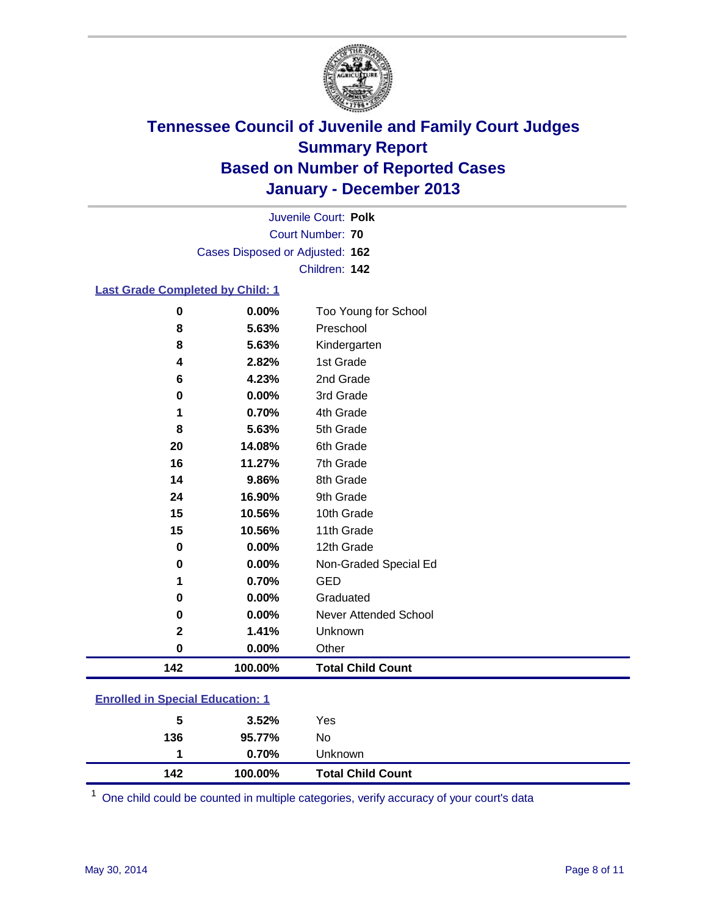

Court Number: **70** Juvenile Court: **Polk** Cases Disposed or Adjusted: **162** Children: **142**

### **Last Grade Completed by Child: 1**

| $\mathbf 0$ | 0.00%   | Too Young for School     |
|-------------|---------|--------------------------|
| 8           | 5.63%   | Preschool                |
| 8           | 5.63%   | Kindergarten             |
| 4           | 2.82%   | 1st Grade                |
| 6           | 4.23%   | 2nd Grade                |
| $\bf{0}$    | 0.00%   | 3rd Grade                |
| 1           | 0.70%   | 4th Grade                |
| 8           | 5.63%   | 5th Grade                |
| 20          | 14.08%  | 6th Grade                |
| 16          | 11.27%  | 7th Grade                |
| 14          | 9.86%   | 8th Grade                |
| 24          | 16.90%  | 9th Grade                |
| 15          | 10.56%  | 10th Grade               |
| 15          | 10.56%  | 11th Grade               |
| $\bf{0}$    | 0.00%   | 12th Grade               |
| $\mathbf 0$ | 0.00%   | Non-Graded Special Ed    |
| 1           | 0.70%   | <b>GED</b>               |
| $\bf{0}$    | 0.00%   | Graduated                |
| 0           | 0.00%   | Never Attended School    |
| $\mathbf 2$ | 1.41%   | Unknown                  |
| 0           | 0.00%   | Other                    |
| 142         | 100.00% | <b>Total Child Count</b> |

| <b>Enrolled in Special Education: 1</b> |          |                          |  |  |
|-----------------------------------------|----------|--------------------------|--|--|
| 5                                       | 3.52%    | Yes                      |  |  |
| 136                                     | 95.77%   | No.                      |  |  |
|                                         | $0.70\%$ | <b>Unknown</b>           |  |  |
| 142                                     | 100.00%  | <b>Total Child Count</b> |  |  |

One child could be counted in multiple categories, verify accuracy of your court's data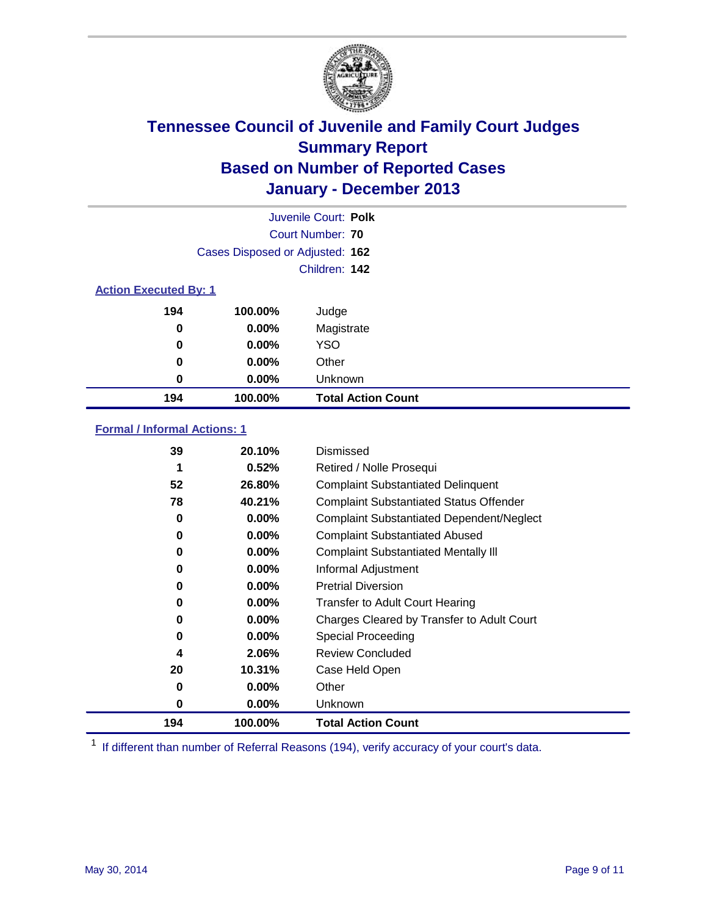

|                              |                                 | Juvenile Court: Polk      |
|------------------------------|---------------------------------|---------------------------|
|                              |                                 | Court Number: 70          |
|                              | Cases Disposed or Adjusted: 162 |                           |
|                              |                                 | Children: 142             |
| <b>Action Executed By: 1</b> |                                 |                           |
| 194                          | 100.00%                         | Judge                     |
| 0                            | $0.00\%$                        | Magistrate                |
| 0                            | $0.00\%$                        | <b>YSO</b>                |
| 0                            | $0.00\%$                        | Other                     |
| 0                            | $0.00\%$                        | Unknown                   |
| 194                          | 100.00%                         | <b>Total Action Count</b> |

### **Formal / Informal Actions: 1**

| 39  | 20.10%   | Dismissed                                        |
|-----|----------|--------------------------------------------------|
|     | 0.52%    | Retired / Nolle Prosequi                         |
| 52  | 26.80%   | <b>Complaint Substantiated Delinquent</b>        |
| 78  | 40.21%   | <b>Complaint Substantiated Status Offender</b>   |
| 0   | $0.00\%$ | <b>Complaint Substantiated Dependent/Neglect</b> |
| 0   | $0.00\%$ | <b>Complaint Substantiated Abused</b>            |
| 0   | $0.00\%$ | <b>Complaint Substantiated Mentally III</b>      |
| 0   | $0.00\%$ | Informal Adjustment                              |
| 0   | $0.00\%$ | <b>Pretrial Diversion</b>                        |
| 0   | 0.00%    | <b>Transfer to Adult Court Hearing</b>           |
| 0   | $0.00\%$ | Charges Cleared by Transfer to Adult Court       |
| 0   | 0.00%    | Special Proceeding                               |
| 4   | 2.06%    | <b>Review Concluded</b>                          |
| 20  | 10.31%   | Case Held Open                                   |
| 0   | $0.00\%$ | Other                                            |
| 0   | $0.00\%$ | Unknown                                          |
| 194 | 100.00%  | <b>Total Action Count</b>                        |

<sup>1</sup> If different than number of Referral Reasons (194), verify accuracy of your court's data.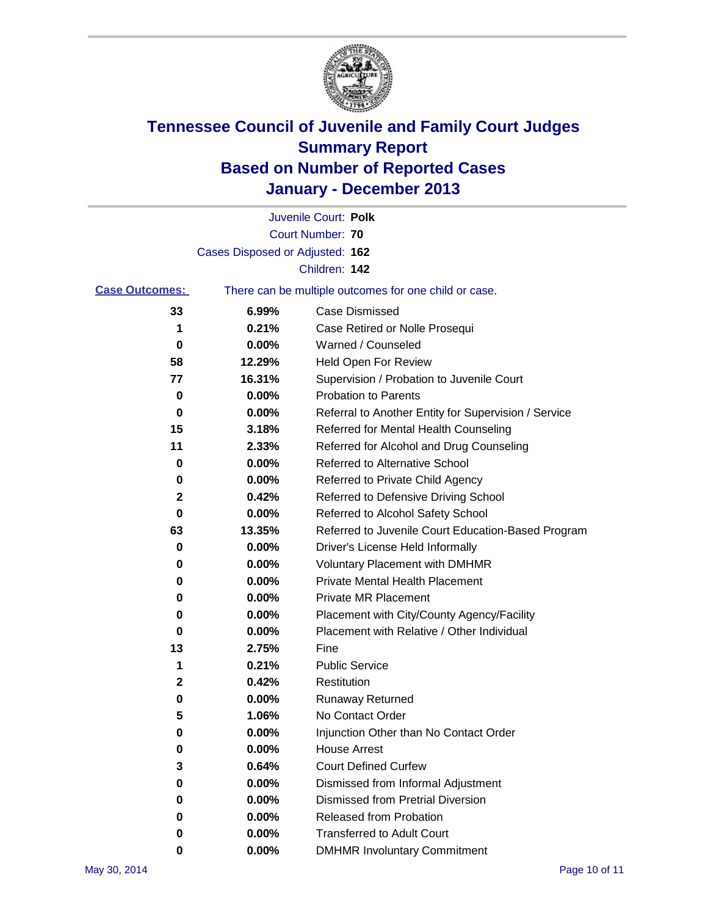

|                       |                                 | Juvenile Court: Polk                                  |
|-----------------------|---------------------------------|-------------------------------------------------------|
|                       |                                 | <b>Court Number: 70</b>                               |
|                       | Cases Disposed or Adjusted: 162 |                                                       |
|                       |                                 | Children: 142                                         |
| <b>Case Outcomes:</b> |                                 | There can be multiple outcomes for one child or case. |
| 33                    | 6.99%                           | Case Dismissed                                        |
| 1                     | 0.21%                           | Case Retired or Nolle Prosequi                        |
| 0                     | 0.00%                           | Warned / Counseled                                    |
| 58                    | 12.29%                          | Held Open For Review                                  |
| 77                    | 16.31%                          | Supervision / Probation to Juvenile Court             |
| 0                     | 0.00%                           | <b>Probation to Parents</b>                           |
| 0                     | 0.00%                           | Referral to Another Entity for Supervision / Service  |
| 15                    | 3.18%                           | Referred for Mental Health Counseling                 |
| 11                    | 2.33%                           | Referred for Alcohol and Drug Counseling              |
| 0                     | 0.00%                           | Referred to Alternative School                        |
| 0                     | 0.00%                           | Referred to Private Child Agency                      |
| 2                     | 0.42%                           | Referred to Defensive Driving School                  |
| 0                     | 0.00%                           | Referred to Alcohol Safety School                     |
| 63                    | 13.35%                          | Referred to Juvenile Court Education-Based Program    |
| 0                     | 0.00%                           | Driver's License Held Informally                      |
| 0                     | 0.00%                           | <b>Voluntary Placement with DMHMR</b>                 |
| 0                     | 0.00%                           | <b>Private Mental Health Placement</b>                |
| 0                     | 0.00%                           | <b>Private MR Placement</b>                           |
| 0                     | 0.00%                           | Placement with City/County Agency/Facility            |
| 0                     | 0.00%                           | Placement with Relative / Other Individual            |
| 13                    | 2.75%                           | Fine                                                  |
| 1                     | 0.21%                           | <b>Public Service</b>                                 |
| 2                     | 0.42%                           | Restitution                                           |
| 0                     | 0.00%                           | <b>Runaway Returned</b>                               |
| 5                     | 1.06%                           | No Contact Order                                      |
| 0                     | 0.00%                           | Injunction Other than No Contact Order                |
| 0                     | 0.00%                           | <b>House Arrest</b>                                   |
| 3                     | 0.64%                           | <b>Court Defined Curfew</b>                           |
| 0                     | 0.00%                           | Dismissed from Informal Adjustment                    |
| 0                     | 0.00%                           | <b>Dismissed from Pretrial Diversion</b>              |
| 0                     | 0.00%                           | Released from Probation                               |
| 0                     | 0.00%                           | <b>Transferred to Adult Court</b>                     |
| 0                     | 0.00%                           | <b>DMHMR Involuntary Commitment</b>                   |